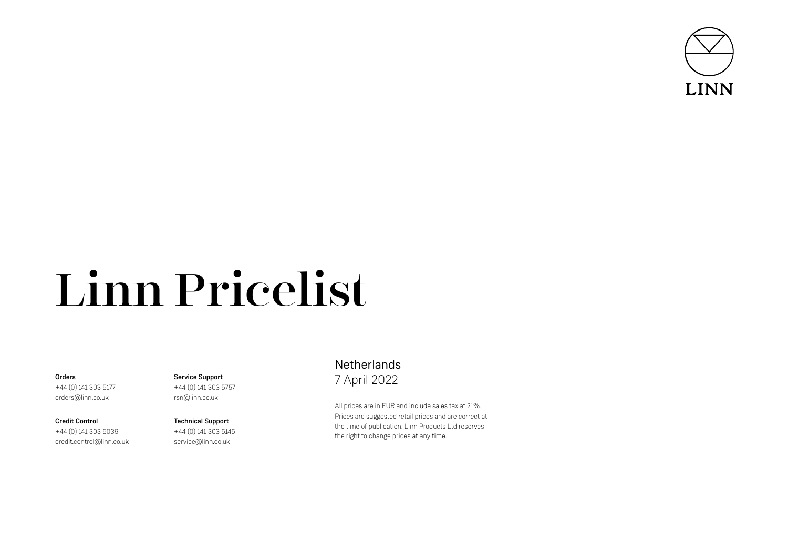

# Linn Pricelist

## **Orders** +44 (0) 141 303 5177 orders@linn.co.uk

Credit Control +44 (0) 141 303 5039 credit.control@linn.co.uk Service Support +44 (0) 141 303 5757 rsn@linn.co.uk

Technical Support +44 (0) 141 303 5145 service@linn.co.uk

# **Netherlands** 7 April 2022

All prices are in EUR and include sales tax at 21%. Prices are suggested retail prices and are correct at the time of publication. Linn Products Ltd reserves the right to change prices at any time.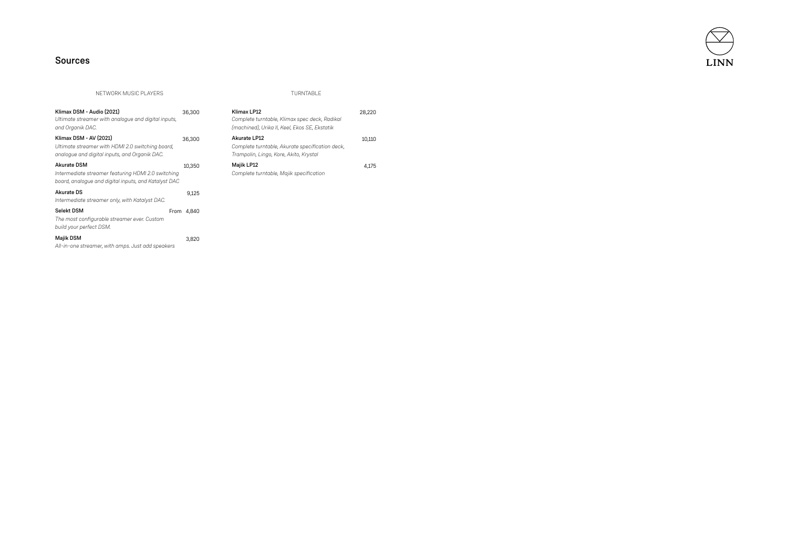

# Sources

NETWORK MUSIC PLAYERS TURNTABLE

| Klimax DSM - Audio (2021)<br>Ultimate streamer with analogue and digital inputs,<br>and Organik DAC.                             | 36,300     |
|----------------------------------------------------------------------------------------------------------------------------------|------------|
| Klimax DSM - AV (2021)<br>Ultimate streamer with HDMI 2.0 switching board,<br>analoque and digital inputs, and Organik DAC.      | 36,300     |
| <b>Akurate DSM</b><br>Intermediate streamer featuring HDMI 2.0 switching<br>board, analogue and digital inputs, and Katalyst DAC | 10.350     |
| Akurate DS<br>Intermediate streamer only, with Katalyst DAC.                                                                     | 9.125      |
| Selekt DSM<br>The most configurable streamer ever. Custom<br>build your perfect DSM.                                             | From 4.840 |
| <b>Majik DSM</b><br>All-in-one streamer, with amps. Just add speakers                                                            | 3.820      |

| Klimax LP12<br>Complete turntable, Klimax spec deck, Radikal<br>(machined), Urika II, Keel, Ekos SE, Ekstatik | 28.220 |
|---------------------------------------------------------------------------------------------------------------|--------|
| Akurate LP12<br>Complete turntable, Akurate specification deck,<br>Trampolin, Lingo, Kore, Akito, Krystal     | 10.110 |
| Majik LP12<br>Complete turntable, Majik specification                                                         | 4.175  |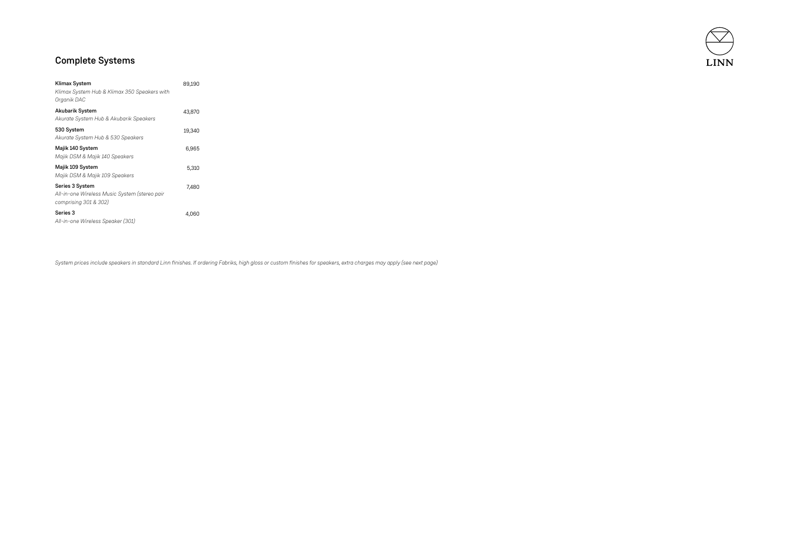

# Complete Systems

| Klimax System<br>Klimax System Hub & Klimax 350 Speakers with<br>Organik DAC              | 89,190 |  |
|-------------------------------------------------------------------------------------------|--------|--|
| Akubarik System<br>Akurate System Hub & Akubarik Speakers                                 | 43,870 |  |
| 530 System<br>Akurate System Hub & 530 Speakers                                           | 19,340 |  |
| Majik 140 System<br>Majik DSM & Majik 140 Speakers                                        | 6,965  |  |
| Majik 109 System<br>Majik DSM & Majik 109 Speakers                                        | 5,310  |  |
| Series 3 System<br>All-in-one Wireless Music System (stereo pair<br>comprising 301 & 302) | 7.480  |  |
| Series 3<br>All-in-one Wireless Speaker (301)                                             | 4,060  |  |

*System prices include speakers in standard Linn finishes. If ordering Fabriks, high gloss or custom finishes for speakers, extra charges may apply (see next page)*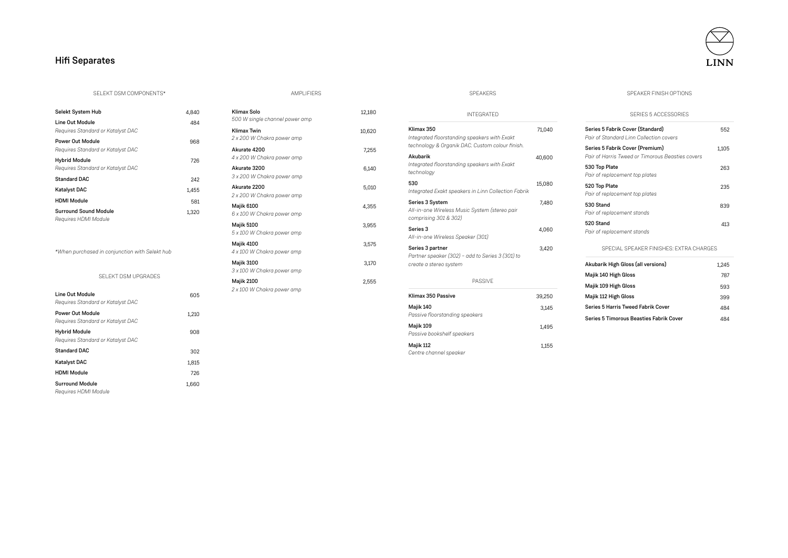# Hi fi Separates



### SELEKT DSM COMPONENTS\*

| Selekt System Hub                                         | 4.840 |
|-----------------------------------------------------------|-------|
| Line Out Module                                           | 484   |
| Requires Standard or Katalyst DAC                         |       |
| Power Out Module                                          | 968   |
| Requires Standard or Katalyst DAC                         |       |
| <b>Hybrid Module</b><br>Requires Standard or Katalyst DAC | 726   |
| <b>Standard DAC</b>                                       | 242   |
| Katalyst DAC                                              | 1.455 |
| <b>HDMI Module</b>                                        | 581   |
| <b>Surround Sound Module</b><br>Reauires HDMI Module      | 1.320 |

*\*When purchased in conjunction with Selekt hub* 

SELEKT DSM UPGRADE S

| Line Out Module<br>Requires Standard or Katalyst DAC      | 605   |
|-----------------------------------------------------------|-------|
| Power Out Module<br>Requires Standard or Katalyst DAC     | 1.210 |
| <b>Hybrid Module</b><br>Requires Standard or Katalyst DAC | 908   |
| Standard DAC                                              | 302   |
| <b>Katalyst DAC</b>                                       | 1.815 |
| <b>HDMI Module</b>                                        | 726   |
| <b>Surround Module</b><br>Requires HDMI Module            | 1.660 |

| Klimax Solo<br>500 W single channel power amp    | 12,180 |
|--------------------------------------------------|--------|
| <b>Klimax Twin</b><br>2 x 200 W Chakra power amp | 10,620 |
| Akurate 4200<br>4 x 200 W Chakra power amp       | 7.255  |
| Akurate 3200<br>3 x 200 W Chakra power amp       | 6.140  |
| Akurate 2200<br>2 x 200 W Chakra power amp       | 5.010  |
| <b>Majik 6100</b><br>6 x 100 W Chakra power amp  | 4.355  |
| <b>Majik 5100</b><br>5 x 100 W Chakra power amp  | 3.955  |
| Majik 4100<br>4 x 100 W Chakra power amp         | 3.575  |
| <b>Majik 3100</b><br>3 x 100 W Chakra power amp  | 3,170  |
| <b>Majik 2100</b><br>2 x 100 W Chakra power amp  | 2.555  |
|                                                  |        |

| <b>INTEGRATED</b>                                                                                             |        |
|---------------------------------------------------------------------------------------------------------------|--------|
| Klimax 350<br>Integrated floorstanding speakers with Exakt<br>technology & Organik DAC. Custom colour finish. | 71.040 |
| Akuharik<br>Integrated floorstanding speakers with Exakt<br>technology                                        | 40,600 |
| 530<br>Integrated Exakt speakers in Linn Collection Fabrik                                                    | 15,080 |
| Series 3 System<br>All-in-one Wireless Music System (stereo pair<br>comprising 301 & 302)                     | 7.480  |
| Series 3<br>All-in-one Wireless Speaker (301)                                                                 | 4,060  |
| Series 3 partner<br>Partner speaker (302) - add to Series 3 (301) to<br>create a stereo system                | 3.420  |
| <b>PASSIVF</b>                                                                                                |        |
| Klimax 350 Passive                                                                                            | 39,250 |
| Majik 140<br>Passive floorstanding speakers                                                                   | 3.145  |
| Majik 109<br>Passive bookshelf speakers                                                                       | 1.495  |

SPEAKERS

### Majik 112 1,155 *Centre channel speaker*

### SPEAKER FINISH OPTIONS

### SERIES 5 ACCE SSORIE S

| Series 5 Fabrik Cover (Standard)<br>Pair of Standard Linn Collection covers         | 552   |
|-------------------------------------------------------------------------------------|-------|
| Series 5 Fabrik Cover (Premium)<br>Pair of Harris Tweed or Timorous Beasties covers | 1,105 |
| 530 Top Plate<br>Pair of replacement top plates                                     | 263   |
| 520 Top Plate<br>Pair of replacement top plates                                     | 235   |
| 530 Stand<br>Pair of replacement stands                                             | 839   |
| 520 Stand<br>Pair of replacement stands                                             | 413   |

### SPECIAL SPEAKER FINISHES: EXTRA CHARGE S

| Akubarik High Gloss (all versions)      | 1.245 |
|-----------------------------------------|-------|
| Majik 140 High Gloss                    | 787   |
| Majik 109 High Gloss                    | 593   |
| Maiik 112 High Gloss                    | 399   |
| Series 5 Harris Tweed Fabrik Cover      | 484   |
| Series 5 Timorous Beasties Fabrik Cover | 484   |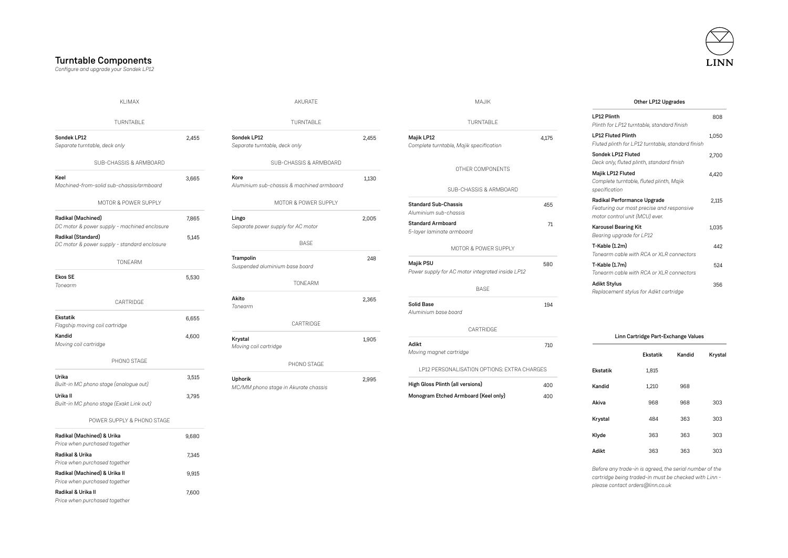# Turntable Components *Configure and upgrade your Sondek LP12*

| LINN |  |
|------|--|

 $1,050$ 

 $2,700$ 

4,420

 $2,115$ 

1,035

Krystal

303

| KLIMAX                                                             |       | AKURATE                                           |       | MAJIK<br>Other LP12 Upgrades                                           |       |                                                                                           |                                                                                                                                                      |        |       |
|--------------------------------------------------------------------|-------|---------------------------------------------------|-------|------------------------------------------------------------------------|-------|-------------------------------------------------------------------------------------------|------------------------------------------------------------------------------------------------------------------------------------------------------|--------|-------|
| TURNTABLE                                                          |       | TURNTABLE                                         |       | LP12 Plinth<br>TURNTABLE<br>Plinth for LP12 turntable, standard finish |       |                                                                                           |                                                                                                                                                      | 808    |       |
| Sondek LP12<br>Separate turntable, deck only                       | 2,455 | Sondek LP12<br>Separate turntable, deck only      | 2,455 | Majik LP12<br>Complete turntable, Majik specification                  | 4,175 | LP12 Fluted Plinth                                                                        | Fluted plinth for LP12 turntable, standard finish                                                                                                    |        | 1,050 |
| SUB-CHASSIS & ARMBOARD                                             |       | SUB-CHASSIS & ARMBOARD                            |       |                                                                        |       | Sondek LP12 Fluted                                                                        | Deck only, fluted plinth, standard finish                                                                                                            |        | 2,700 |
| Keel<br>Machined-from-solid sub-chassis/armboard                   | 3,665 | Kore<br>Aluminium sub-chassis & machined armboard | 1,130 | OTHER COMPONENTS<br>SUB-CHASSIS & ARMBOARD                             |       | Majik LP12 Fluted<br>specification                                                        | Complete turntable, fluted plinth, Majik                                                                                                             |        | 4,420 |
| MOTOR & POWER SUPPLY                                               |       | MOTOR & POWER SUPPLY                              |       | <b>Standard Sub-Chassis</b><br>Aluminium sub-chassis                   | 455   |                                                                                           | Radikal Performance Upgrade<br>Featuring our most precise and responsive                                                                             |        | 2,115 |
| Radikal (Machined)<br>DC motor & power supply - machined enclosure | 7,865 | Lingo<br>Separate power supply for AC motor       | 2,005 | <b>Standard Armboard</b><br>5-layer laminate armboard                  | 71    | motor control unit (MCU) ever.<br><b>Karousel Bearing Kit</b><br>Bearing upgrade for LP12 |                                                                                                                                                      |        | 1.035 |
| Radikal (Standard)<br>DC motor & power supply - standard enclosure | 5,145 | <b>BASE</b>                                       |       | MOTOR & POWER SUPPLY                                                   |       | T-Kable (1.2m)                                                                            | Tonearm cable with RCA or XLR connectors                                                                                                             |        | 442   |
| TONEARM                                                            |       | Trampolin<br>Suspended aluminium base board       | 248   | Majik PSU<br>Power supply for AC motor integrated inside LP12          | 580   | T-Kable (1.7m)                                                                            | Tonearm cable with RCA or XLR connectors                                                                                                             |        | 524   |
| <b>Ekos SE</b><br>Tonearm                                          | 5,530 | TONEARM                                           |       | <b>BASE</b>                                                            |       | <b>Adikt Stylus</b>                                                                       | Replacement stylus for Adikt cartridge                                                                                                               |        | 356   |
| CARTRIDGE                                                          |       | Akito<br>Tonearm                                  | 2,365 | <b>Solid Base</b><br>Aluminium base board                              | 194   |                                                                                           |                                                                                                                                                      |        |       |
| <b>Ekstatik</b><br>Flagship moving coil cartridge                  | 6,655 | CARTRIDGE                                         |       | CARTRIDGE                                                              |       |                                                                                           |                                                                                                                                                      |        |       |
| Kandid<br>Moving coil cartridge                                    | 4,600 | Krystal<br>Moving coil cartridge                  | 1.905 | Adikt<br>Moving magnet cartridge                                       | 710   |                                                                                           | Linn Cartridge Part-Exchange Values                                                                                                                  |        |       |
| PHONO STAGE                                                        |       | PHONO STAGE                                       |       | LP12 PERSONALISATION OPTIONS: EXTRA CHARGES                            |       | <b>Ekstatik</b>                                                                           | <b>Ekstatik</b><br>1,815                                                                                                                             | Kandid | Kryst |
| Urika<br>Built-in MC phono stage (analogue out)                    | 3,515 | Uphorik<br>MC/MM phono stage in Akurate chassis   | 2,995 | High Gloss Plinth (all versions)                                       | 400   | Kandid                                                                                    | 1,210                                                                                                                                                | 968    |       |
| Urika II<br>Built-in MC phono stage (Exakt Link out)               | 3,795 |                                                   |       | Monogram Etched Armboard (Keel only)                                   | 400   | Akiva                                                                                     | 968                                                                                                                                                  | 968    | 303   |
| POWER SUPPLY & PHONO STAGE                                         |       |                                                   |       |                                                                        |       | Krystal                                                                                   | 484                                                                                                                                                  | 363    | 303   |
| Radikal (Machined) & Urika<br>Price when purchased together        | 9,680 |                                                   |       |                                                                        |       | Klyde                                                                                     | 363                                                                                                                                                  | 363    | 303   |
| Radikal & Urika<br>Price when purchased together                   | 7,345 |                                                   |       |                                                                        |       | Adikt                                                                                     | 363                                                                                                                                                  | 363    | 303   |
| Radikal (Machined) & Urika II<br>Price when purchased together     | 9,915 |                                                   |       |                                                                        |       |                                                                                           | Before any trade-in is agreed, the serial number of the<br>cartridge being traded-in must be checked with Linn -<br>please contact orders@linn.co.uk |        |       |
| Radikal & Urika II<br>Price when purchased together                | 7,600 |                                                   |       |                                                                        |       |                                                                                           |                                                                                                                                                      |        |       |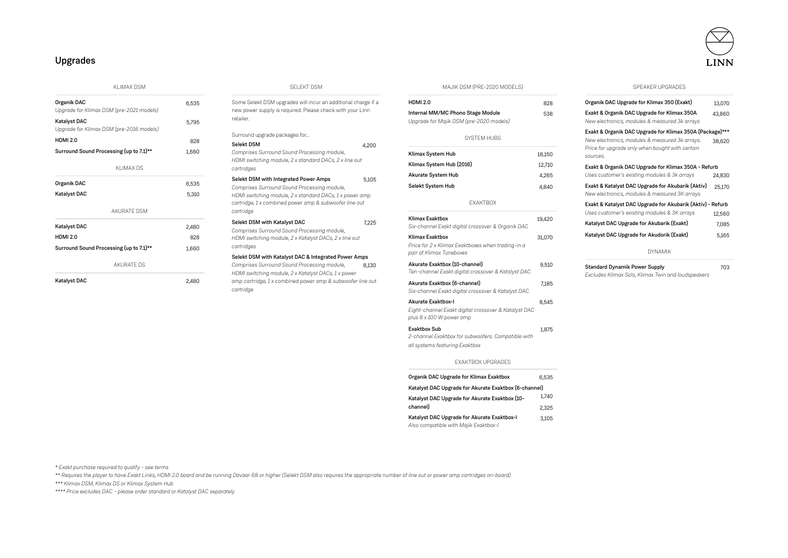# Upgrades

KLIMAX DSM

| Organik DAC<br>Upgrade for Klimax DSM (pre-2021 models)         | 6.535 |
|-----------------------------------------------------------------|-------|
| <b>Katalyst DAC</b><br>Upgrade for Klimax DSM (pre-2016 models) | 5.795 |
| HDMI <sub>20</sub>                                              | 828   |
| Surround Sound Processing (up to 7.1)**                         | 1.660 |
| KI IMAX DS                                                      |       |
| Organik DAC                                                     | 6.535 |
| <b>Katalyst DAC</b>                                             | 5.310 |
| <b>AKURATE DSM</b>                                              |       |
| <b>Katalyst DAC</b>                                             | 2.480 |
| <b>HDMI 2.0</b>                                                 | 828   |
| Surround Sound Processing (up to 7.1)**                         | 1,660 |
| AKURATE DS                                                      |       |
| <b>Katalyst DAC</b>                                             | 2.480 |

### SELEKT DSM

Some Selekt DSM upgrades will incur an additional charge if a new power supply is required. Please check with your Linn retailer.

### Surround upgrade packages for...

Selekt DSM 4,200 *Comprises Surround Sound Processing module, HDMI switching module, 2 x standard DACs, 2 x line out cartridges* Selekt DSM with Integrated Power Amps 5,105 *Comprises Surround Sound Processing module, HDMI switching module, 2 x standard DACs, 1 x power amp cartridge, 1 x combined power amp & subwoofer line out cartridge* Selekt DSM with Katalyst DAC 7.225 *Comprises Surround Sound Processing module, HDMI switching module, 2 x Katalyst DACs, 2 x line out cartridges* 8,130 Selekt DSM with Katalyst DAC & Integrated Power Amps *Comprises Surround Sound Processing module, HDMI switching module, 2 x Katalyst DACs, 1 x power amp cartridge, 1 x combined power amp & subwoofer line out cartridge*

MAJIK DSM (PRE-2020 MODELS)

| <b>HDMI 2.0</b>                                                                                               | 828    |  |
|---------------------------------------------------------------------------------------------------------------|--------|--|
| Internal MM/MC Phono Stage Module<br>Upgrade for Majik DSM (pre-2020 models)                                  | 538    |  |
| <b>SYSTEM HUBS</b>                                                                                            |        |  |
| Klimax System Hub                                                                                             | 18,150 |  |
| Klimax System Hub (2016)                                                                                      | 12,710 |  |
| Akurate System Hub                                                                                            | 4,265  |  |
| Selekt System Hub                                                                                             | 4,840  |  |
| <b>FXAKTBOX</b>                                                                                               |        |  |
| <b>Klimax Exaktbox</b><br>Six-channel Exakt digital crossover & Organik DAC                                   | 19,420 |  |
| <b>Klimax Exaktbox</b><br>Price for 2 x Klimax Exaktboxes when trading-in a<br>pair of Klimax Tuneboxes       | 31,070 |  |
| Akurate Exaktbox (10-channel)<br>Ten-channel Exakt digital crossover & Katalyst DAC                           | 9,510  |  |
| Akurate Exaktbox (6-channel)<br>Six-channel Exakt digital crossover & Katalyst DAC                            | 7.185  |  |
| <b>Akurate Exaktbox-I</b><br>Eight-channel Exakt digital crossover & Katalyst DAC<br>plus 8 x 100 W power amp | 8,545  |  |
| <b>Exaktbox Sub</b><br>2-channel Exaktbox for subwoofers. Compatible with<br>all systems featuring Exaktbox   | 1,875  |  |
| <b>FXAKTROX UPGRADES</b>                                                                                      |        |  |
| Organik DAC Upgrade for Klimax Exaktbox                                                                       | 6,535  |  |
| Katalyst DAC Upgrade for Akurate Exaktbox (6-channel)                                                         |        |  |
| Katalyst DAC Upgrade for Akurate Exaktbox (10-                                                                |        |  |
| channell                                                                                                      |        |  |
| Katalyst DAC Upgrade for Akurate Exaktbox-I                                                                   | 3.105  |  |

*Also compatible with Majik Exaktbox-I*

SPEAKER UPGRADES

| Organik DAC Upgrade for Klimax 350 (Exakt)                                                                    | 13,070 |
|---------------------------------------------------------------------------------------------------------------|--------|
| Exakt & Organik DAC Upgrade for Klimax 350A<br>New electronics, modules & measured 3k arrays                  | 43,860 |
| Exakt & Organik DAC Upgrade for Klimax 350A (Package)***                                                      |        |
| New electronics, modules & measured 3k arrays.<br>Price for upgrade only when bought with certain<br>sources. | 38,620 |
| Exakt & Organik DAC Upgrade for Klimax 350A - Refurb                                                          |        |
| Uses customer's existing modules & 3k arrays                                                                  | 24,830 |
| Exakt & Katalyst DAC Upgrade for Akubarik (Aktiv)<br>New electronics, modules & measured 3K arrays            | 25,170 |
| Exakt & Katalyst DAC Upgrade for Akubarik (Aktiv) - Refurb                                                    |        |
| Uses customer's existing modules & 3K arrays                                                                  | 12,560 |
| Katalyst DAC Upgrade for Akubarik (Exakt)                                                                     | 7,085  |
| Katalyst DAC Upgrade for Akudorik (Exakt)                                                                     | 5,165  |
| <b>DYNAMIK</b>                                                                                                |        |
| <b>Standard Dynamik Power Supply</b><br>Excludes Klimax Solo, Klimax Twin and loudspeakers                    | 703    |

*\* Exakt purchase required to qualify - see terms* 

*\*\* Requires the player to have Exakt Links, HDMI 2.0 board and be running Davaar 68 or higher (Selekt DSM also requires the appropriate number of line out or power amp cartridges on-board)* 

*\*\*\* Klimax DSM, Klimax DS or Klimax System Hub*

*\*\*\*\* Price excludes DAC – please order standard or Katalyst DAC separately*

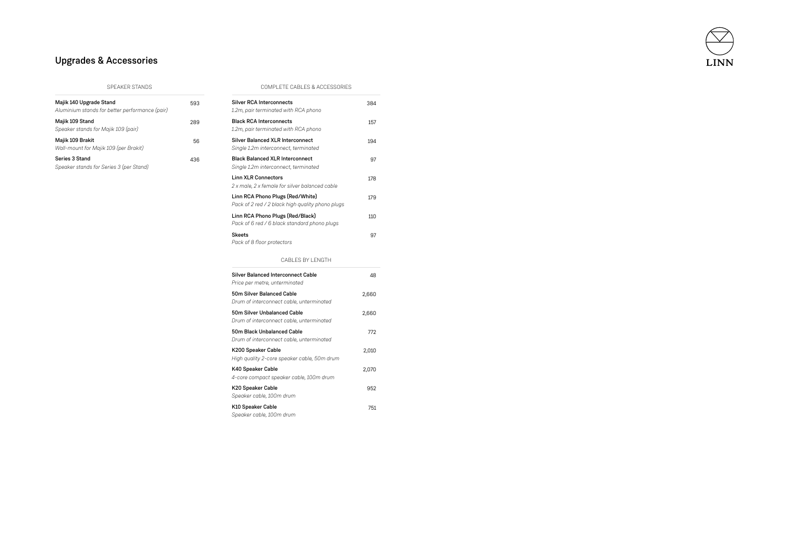

# Upgrades & Accessories

| Majik 140 Upgrade Stand<br>Aluminium stands for better performance (pair) | 593 |
|---------------------------------------------------------------------------|-----|
| Majik 109 Stand<br>Speaker stands for Majik 109 (pair)                    | 289 |
| Majik 109 Brakit<br>Wall-mount for Majik 109 (per Brakit)                 | 56  |
| Series 3 Stand<br>Speaker stands for Series 3 (per Stand)                 | 436 |

SPEAKER STANDS COMPLETE CABLES & ACCESSORIES

| <b>Silver RCA Interconnects</b><br>1.2m, pair terminated with RCA phono              | 384   |
|--------------------------------------------------------------------------------------|-------|
| <b>Black RCA Interconnects</b><br>1.2m, pair terminated with RCA phono               | 157   |
| <b>Silver Balanced XLR Interconnect</b><br>Single 1.2m interconnect, terminated      | 194   |
| <b>Black Balanced XI R Interconnect</b><br>Single 1.2m interconnect, terminated      | 97    |
| Linn XLR Connectors<br>2 x male, 2 x female for silver balanced cable                | 178   |
| Linn RCA Phono Plugs (Red/White)<br>Pack of 2 red / 2 black high quality phono plugs | 179   |
| Linn RCA Phono Plugs (Red/Black)<br>Pack of 6 red / 6 black standard phono plugs     | 110   |
| <b>Skeets</b><br>Pack of 8 floor protectors                                          | 97    |
| CABLES BY LENGTH                                                                     |       |
| Silver Balanced Interconnect Cable<br>Price per metre, unterminated                  | 48    |
| 50m Silver Balanced Cable<br>Drum of interconnect cable, unterminated                | 2,660 |

| 50m Silver Unbalanced Cable<br>Drum of interconnect cable, unterminated | 2.660 |
|-------------------------------------------------------------------------|-------|
| 50m Black Unbalanced Cable<br>Drum of interconnect cable, unterminated  | 772   |
| K200 Speaker Cable<br>High quality 2-core speaker cable, 50m drum       | 2.010 |
| K40 Speaker Cable<br>4-core compact speaker cable, 100m drum            | 2.070 |
| K20 Speaker Cable<br>Speaker cable, 100m drum                           | 952   |
| K10 Speaker Cable<br>Speaker cable, 100m drum                           | 751   |